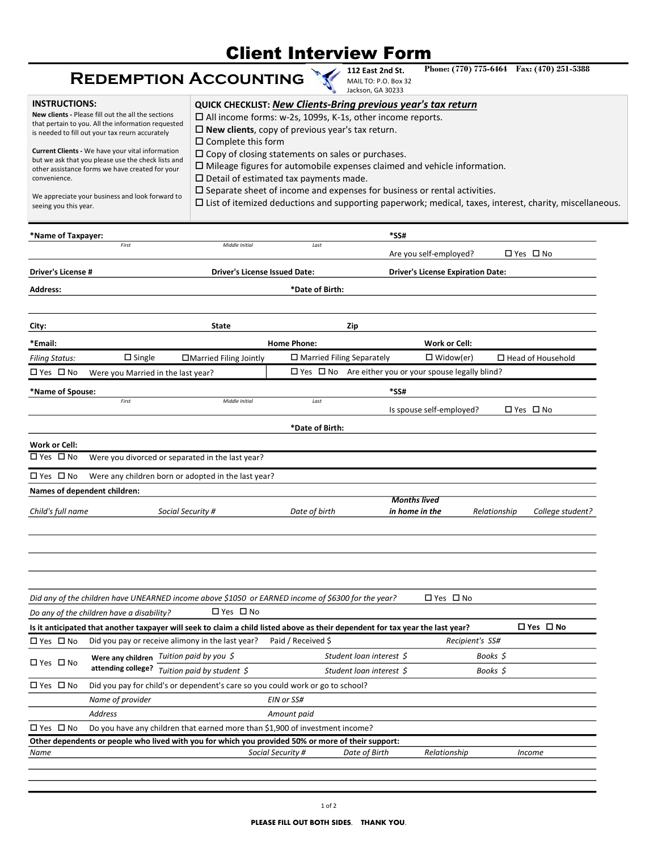## Client Interview Form

## Redemption Accounting

| <b>Client Interview Form</b><br>Phone: (770) 775-6464 Fax: (470) 251-5388<br>112 East 2nd St.<br><b>REDEMPTION ACCOUNTING</b><br>MAIL TO: P.O. Box 32<br>Jackson, GA 30233<br><b>INSTRUCTIONS:</b><br>QUICK CHECKLIST: New Clients-Bring previous year's tax return<br>New clients - Please fill out the all the sections<br>□ All income forms: w-2s, 1099s, K-1s, other income reports.<br>that pertain to you. All the information requested<br>$\square$ New clients, copy of previous year's tax return.<br>is needed to fill out your tax reurn accurately<br>$\square$ Complete this form<br>Current Clients - We have your vital information<br>$\square$ Copy of closing statements on sales or purchases.<br>but we ask that you please use the check lists and<br>$\square$ Mileage figures for automobile expenses claimed and vehicle information.<br>other assistance forms we have created for your<br>$\square$ Detail of estimated tax payments made.<br>convenience.<br>$\square$ Separate sheet of income and expenses for business or rental activities.<br>We appreciate your business and look forward to<br>$\Box$ List of itemized deductions and supporting paperwork; medical, taxes, interest, charity, miscellaneous.<br>seeing you this year.<br>Name of Taxpayer:<br>*SS#<br>First<br>Middle Initial<br>Last<br>□ Yes □ No<br>Are you self-employed?<br><b>Driver's License #</b><br><b>Driver's License Issued Date:</b><br><b>Driver's License Expiration Date:</b><br>*Date of Birth:<br>Address:<br>City:<br>State<br>Zip<br><b>Home Phone:</b><br>Work or Cell:<br>*Email:<br>$\square$ Single<br>□Married Filing Jointly<br>$\Box$ Married Filing Separately<br>$\Box$ Widow(er)<br>$\Box$ Head of Household<br>Filing Status:<br>$\Box$ Yes $\Box$ No Are either you or your spouse legally blind?<br>□ Yes □ No<br>Were you Married in the last year?<br>*Name of Spouse:<br>*SS#<br>First<br>Middle Initial<br>Last<br>□ Yes □ No<br>Is spouse self-employed?<br>*Date of Birth:<br>Work or Cell:<br>Were you divorced or separated in the last year?<br>□ Yes □ No<br>□ Yes □ No<br>Were any children born or adopted in the last year?<br>Names of dependent children:<br><b>Months lived</b><br>Child's full name<br>Social Security #<br>Date of birth<br>in home in the<br>Relationship<br>College student?<br>?Did any of the children have UNEARNED income above \$1050 or EARNED income of \$6300 for the year<br>□ Yes □ No<br>□ Yes □ No<br>Do any of the children have a disability?<br>□ Yes □ No<br>Is it anticipated that another taxpayer will seek to claim a child listed above as their dependent for tax year the last year?<br>□ Yes □ No<br>Did you pay or receive alimony in the last year?<br>Paid / Received \$<br>Recipient's SS#<br>Were any children Tuition paid by you \$<br>Student loan interest \$<br>Books \$<br>□ Yes □ No<br>attending college? Tuition paid by student $\zeta$<br>Student loan interest \$<br>Books \$<br>□ Yes □ No<br>Did you pay for child's or dependent's care so you could work or go to school?<br>Name of provider<br>EIN or SS#<br>Address<br>Amount paid<br>□ Yes □ No<br>Do you have any children that earned more than \$1,900 of investment income?<br>Other dependents or people who lived with you for which you provided 50% or more of their support: |  |  |  |
|-------------------------------------------------------------------------------------------------------------------------------------------------------------------------------------------------------------------------------------------------------------------------------------------------------------------------------------------------------------------------------------------------------------------------------------------------------------------------------------------------------------------------------------------------------------------------------------------------------------------------------------------------------------------------------------------------------------------------------------------------------------------------------------------------------------------------------------------------------------------------------------------------------------------------------------------------------------------------------------------------------------------------------------------------------------------------------------------------------------------------------------------------------------------------------------------------------------------------------------------------------------------------------------------------------------------------------------------------------------------------------------------------------------------------------------------------------------------------------------------------------------------------------------------------------------------------------------------------------------------------------------------------------------------------------------------------------------------------------------------------------------------------------------------------------------------------------------------------------------------------------------------------------------------------------------------------------------------------------------------------------------------------------------------------------------------------------------------------------------------------------------------------------------------------------------------------------------------------------------------------------------------------------------------------------------------------------------------------------------------------------------------------------------------------------------------------------------------------------------------------------------------------------------------------------------------------------------------------------------------------------------------------------------------------------------------------------------------------------------------------------------------------------------------------------------------------------------------------------------------------------------------------------------------------------------------------------------------------------------------------------------------------------------------------------------------------------------------------------------------------------------------------------------------------------------------------------------------------------------------------------------------------------------------------------------------------------------------------------------------|--|--|--|
|                                                                                                                                                                                                                                                                                                                                                                                                                                                                                                                                                                                                                                                                                                                                                                                                                                                                                                                                                                                                                                                                                                                                                                                                                                                                                                                                                                                                                                                                                                                                                                                                                                                                                                                                                                                                                                                                                                                                                                                                                                                                                                                                                                                                                                                                                                                                                                                                                                                                                                                                                                                                                                                                                                                                                                                                                                                                                                                                                                                                                                                                                                                                                                                                                                                                                                                                                                   |  |  |  |
|                                                                                                                                                                                                                                                                                                                                                                                                                                                                                                                                                                                                                                                                                                                                                                                                                                                                                                                                                                                                                                                                                                                                                                                                                                                                                                                                                                                                                                                                                                                                                                                                                                                                                                                                                                                                                                                                                                                                                                                                                                                                                                                                                                                                                                                                                                                                                                                                                                                                                                                                                                                                                                                                                                                                                                                                                                                                                                                                                                                                                                                                                                                                                                                                                                                                                                                                                                   |  |  |  |
|                                                                                                                                                                                                                                                                                                                                                                                                                                                                                                                                                                                                                                                                                                                                                                                                                                                                                                                                                                                                                                                                                                                                                                                                                                                                                                                                                                                                                                                                                                                                                                                                                                                                                                                                                                                                                                                                                                                                                                                                                                                                                                                                                                                                                                                                                                                                                                                                                                                                                                                                                                                                                                                                                                                                                                                                                                                                                                                                                                                                                                                                                                                                                                                                                                                                                                                                                                   |  |  |  |
|                                                                                                                                                                                                                                                                                                                                                                                                                                                                                                                                                                                                                                                                                                                                                                                                                                                                                                                                                                                                                                                                                                                                                                                                                                                                                                                                                                                                                                                                                                                                                                                                                                                                                                                                                                                                                                                                                                                                                                                                                                                                                                                                                                                                                                                                                                                                                                                                                                                                                                                                                                                                                                                                                                                                                                                                                                                                                                                                                                                                                                                                                                                                                                                                                                                                                                                                                                   |  |  |  |
|                                                                                                                                                                                                                                                                                                                                                                                                                                                                                                                                                                                                                                                                                                                                                                                                                                                                                                                                                                                                                                                                                                                                                                                                                                                                                                                                                                                                                                                                                                                                                                                                                                                                                                                                                                                                                                                                                                                                                                                                                                                                                                                                                                                                                                                                                                                                                                                                                                                                                                                                                                                                                                                                                                                                                                                                                                                                                                                                                                                                                                                                                                                                                                                                                                                                                                                                                                   |  |  |  |
|                                                                                                                                                                                                                                                                                                                                                                                                                                                                                                                                                                                                                                                                                                                                                                                                                                                                                                                                                                                                                                                                                                                                                                                                                                                                                                                                                                                                                                                                                                                                                                                                                                                                                                                                                                                                                                                                                                                                                                                                                                                                                                                                                                                                                                                                                                                                                                                                                                                                                                                                                                                                                                                                                                                                                                                                                                                                                                                                                                                                                                                                                                                                                                                                                                                                                                                                                                   |  |  |  |
|                                                                                                                                                                                                                                                                                                                                                                                                                                                                                                                                                                                                                                                                                                                                                                                                                                                                                                                                                                                                                                                                                                                                                                                                                                                                                                                                                                                                                                                                                                                                                                                                                                                                                                                                                                                                                                                                                                                                                                                                                                                                                                                                                                                                                                                                                                                                                                                                                                                                                                                                                                                                                                                                                                                                                                                                                                                                                                                                                                                                                                                                                                                                                                                                                                                                                                                                                                   |  |  |  |
|                                                                                                                                                                                                                                                                                                                                                                                                                                                                                                                                                                                                                                                                                                                                                                                                                                                                                                                                                                                                                                                                                                                                                                                                                                                                                                                                                                                                                                                                                                                                                                                                                                                                                                                                                                                                                                                                                                                                                                                                                                                                                                                                                                                                                                                                                                                                                                                                                                                                                                                                                                                                                                                                                                                                                                                                                                                                                                                                                                                                                                                                                                                                                                                                                                                                                                                                                                   |  |  |  |
|                                                                                                                                                                                                                                                                                                                                                                                                                                                                                                                                                                                                                                                                                                                                                                                                                                                                                                                                                                                                                                                                                                                                                                                                                                                                                                                                                                                                                                                                                                                                                                                                                                                                                                                                                                                                                                                                                                                                                                                                                                                                                                                                                                                                                                                                                                                                                                                                                                                                                                                                                                                                                                                                                                                                                                                                                                                                                                                                                                                                                                                                                                                                                                                                                                                                                                                                                                   |  |  |  |
|                                                                                                                                                                                                                                                                                                                                                                                                                                                                                                                                                                                                                                                                                                                                                                                                                                                                                                                                                                                                                                                                                                                                                                                                                                                                                                                                                                                                                                                                                                                                                                                                                                                                                                                                                                                                                                                                                                                                                                                                                                                                                                                                                                                                                                                                                                                                                                                                                                                                                                                                                                                                                                                                                                                                                                                                                                                                                                                                                                                                                                                                                                                                                                                                                                                                                                                                                                   |  |  |  |
|                                                                                                                                                                                                                                                                                                                                                                                                                                                                                                                                                                                                                                                                                                                                                                                                                                                                                                                                                                                                                                                                                                                                                                                                                                                                                                                                                                                                                                                                                                                                                                                                                                                                                                                                                                                                                                                                                                                                                                                                                                                                                                                                                                                                                                                                                                                                                                                                                                                                                                                                                                                                                                                                                                                                                                                                                                                                                                                                                                                                                                                                                                                                                                                                                                                                                                                                                                   |  |  |  |
|                                                                                                                                                                                                                                                                                                                                                                                                                                                                                                                                                                                                                                                                                                                                                                                                                                                                                                                                                                                                                                                                                                                                                                                                                                                                                                                                                                                                                                                                                                                                                                                                                                                                                                                                                                                                                                                                                                                                                                                                                                                                                                                                                                                                                                                                                                                                                                                                                                                                                                                                                                                                                                                                                                                                                                                                                                                                                                                                                                                                                                                                                                                                                                                                                                                                                                                                                                   |  |  |  |
|                                                                                                                                                                                                                                                                                                                                                                                                                                                                                                                                                                                                                                                                                                                                                                                                                                                                                                                                                                                                                                                                                                                                                                                                                                                                                                                                                                                                                                                                                                                                                                                                                                                                                                                                                                                                                                                                                                                                                                                                                                                                                                                                                                                                                                                                                                                                                                                                                                                                                                                                                                                                                                                                                                                                                                                                                                                                                                                                                                                                                                                                                                                                                                                                                                                                                                                                                                   |  |  |  |
|                                                                                                                                                                                                                                                                                                                                                                                                                                                                                                                                                                                                                                                                                                                                                                                                                                                                                                                                                                                                                                                                                                                                                                                                                                                                                                                                                                                                                                                                                                                                                                                                                                                                                                                                                                                                                                                                                                                                                                                                                                                                                                                                                                                                                                                                                                                                                                                                                                                                                                                                                                                                                                                                                                                                                                                                                                                                                                                                                                                                                                                                                                                                                                                                                                                                                                                                                                   |  |  |  |
|                                                                                                                                                                                                                                                                                                                                                                                                                                                                                                                                                                                                                                                                                                                                                                                                                                                                                                                                                                                                                                                                                                                                                                                                                                                                                                                                                                                                                                                                                                                                                                                                                                                                                                                                                                                                                                                                                                                                                                                                                                                                                                                                                                                                                                                                                                                                                                                                                                                                                                                                                                                                                                                                                                                                                                                                                                                                                                                                                                                                                                                                                                                                                                                                                                                                                                                                                                   |  |  |  |
|                                                                                                                                                                                                                                                                                                                                                                                                                                                                                                                                                                                                                                                                                                                                                                                                                                                                                                                                                                                                                                                                                                                                                                                                                                                                                                                                                                                                                                                                                                                                                                                                                                                                                                                                                                                                                                                                                                                                                                                                                                                                                                                                                                                                                                                                                                                                                                                                                                                                                                                                                                                                                                                                                                                                                                                                                                                                                                                                                                                                                                                                                                                                                                                                                                                                                                                                                                   |  |  |  |
|                                                                                                                                                                                                                                                                                                                                                                                                                                                                                                                                                                                                                                                                                                                                                                                                                                                                                                                                                                                                                                                                                                                                                                                                                                                                                                                                                                                                                                                                                                                                                                                                                                                                                                                                                                                                                                                                                                                                                                                                                                                                                                                                                                                                                                                                                                                                                                                                                                                                                                                                                                                                                                                                                                                                                                                                                                                                                                                                                                                                                                                                                                                                                                                                                                                                                                                                                                   |  |  |  |
|                                                                                                                                                                                                                                                                                                                                                                                                                                                                                                                                                                                                                                                                                                                                                                                                                                                                                                                                                                                                                                                                                                                                                                                                                                                                                                                                                                                                                                                                                                                                                                                                                                                                                                                                                                                                                                                                                                                                                                                                                                                                                                                                                                                                                                                                                                                                                                                                                                                                                                                                                                                                                                                                                                                                                                                                                                                                                                                                                                                                                                                                                                                                                                                                                                                                                                                                                                   |  |  |  |
|                                                                                                                                                                                                                                                                                                                                                                                                                                                                                                                                                                                                                                                                                                                                                                                                                                                                                                                                                                                                                                                                                                                                                                                                                                                                                                                                                                                                                                                                                                                                                                                                                                                                                                                                                                                                                                                                                                                                                                                                                                                                                                                                                                                                                                                                                                                                                                                                                                                                                                                                                                                                                                                                                                                                                                                                                                                                                                                                                                                                                                                                                                                                                                                                                                                                                                                                                                   |  |  |  |
|                                                                                                                                                                                                                                                                                                                                                                                                                                                                                                                                                                                                                                                                                                                                                                                                                                                                                                                                                                                                                                                                                                                                                                                                                                                                                                                                                                                                                                                                                                                                                                                                                                                                                                                                                                                                                                                                                                                                                                                                                                                                                                                                                                                                                                                                                                                                                                                                                                                                                                                                                                                                                                                                                                                                                                                                                                                                                                                                                                                                                                                                                                                                                                                                                                                                                                                                                                   |  |  |  |
|                                                                                                                                                                                                                                                                                                                                                                                                                                                                                                                                                                                                                                                                                                                                                                                                                                                                                                                                                                                                                                                                                                                                                                                                                                                                                                                                                                                                                                                                                                                                                                                                                                                                                                                                                                                                                                                                                                                                                                                                                                                                                                                                                                                                                                                                                                                                                                                                                                                                                                                                                                                                                                                                                                                                                                                                                                                                                                                                                                                                                                                                                                                                                                                                                                                                                                                                                                   |  |  |  |
|                                                                                                                                                                                                                                                                                                                                                                                                                                                                                                                                                                                                                                                                                                                                                                                                                                                                                                                                                                                                                                                                                                                                                                                                                                                                                                                                                                                                                                                                                                                                                                                                                                                                                                                                                                                                                                                                                                                                                                                                                                                                                                                                                                                                                                                                                                                                                                                                                                                                                                                                                                                                                                                                                                                                                                                                                                                                                                                                                                                                                                                                                                                                                                                                                                                                                                                                                                   |  |  |  |
|                                                                                                                                                                                                                                                                                                                                                                                                                                                                                                                                                                                                                                                                                                                                                                                                                                                                                                                                                                                                                                                                                                                                                                                                                                                                                                                                                                                                                                                                                                                                                                                                                                                                                                                                                                                                                                                                                                                                                                                                                                                                                                                                                                                                                                                                                                                                                                                                                                                                                                                                                                                                                                                                                                                                                                                                                                                                                                                                                                                                                                                                                                                                                                                                                                                                                                                                                                   |  |  |  |
|                                                                                                                                                                                                                                                                                                                                                                                                                                                                                                                                                                                                                                                                                                                                                                                                                                                                                                                                                                                                                                                                                                                                                                                                                                                                                                                                                                                                                                                                                                                                                                                                                                                                                                                                                                                                                                                                                                                                                                                                                                                                                                                                                                                                                                                                                                                                                                                                                                                                                                                                                                                                                                                                                                                                                                                                                                                                                                                                                                                                                                                                                                                                                                                                                                                                                                                                                                   |  |  |  |
|                                                                                                                                                                                                                                                                                                                                                                                                                                                                                                                                                                                                                                                                                                                                                                                                                                                                                                                                                                                                                                                                                                                                                                                                                                                                                                                                                                                                                                                                                                                                                                                                                                                                                                                                                                                                                                                                                                                                                                                                                                                                                                                                                                                                                                                                                                                                                                                                                                                                                                                                                                                                                                                                                                                                                                                                                                                                                                                                                                                                                                                                                                                                                                                                                                                                                                                                                                   |  |  |  |
|                                                                                                                                                                                                                                                                                                                                                                                                                                                                                                                                                                                                                                                                                                                                                                                                                                                                                                                                                                                                                                                                                                                                                                                                                                                                                                                                                                                                                                                                                                                                                                                                                                                                                                                                                                                                                                                                                                                                                                                                                                                                                                                                                                                                                                                                                                                                                                                                                                                                                                                                                                                                                                                                                                                                                                                                                                                                                                                                                                                                                                                                                                                                                                                                                                                                                                                                                                   |  |  |  |
|                                                                                                                                                                                                                                                                                                                                                                                                                                                                                                                                                                                                                                                                                                                                                                                                                                                                                                                                                                                                                                                                                                                                                                                                                                                                                                                                                                                                                                                                                                                                                                                                                                                                                                                                                                                                                                                                                                                                                                                                                                                                                                                                                                                                                                                                                                                                                                                                                                                                                                                                                                                                                                                                                                                                                                                                                                                                                                                                                                                                                                                                                                                                                                                                                                                                                                                                                                   |  |  |  |
|                                                                                                                                                                                                                                                                                                                                                                                                                                                                                                                                                                                                                                                                                                                                                                                                                                                                                                                                                                                                                                                                                                                                                                                                                                                                                                                                                                                                                                                                                                                                                                                                                                                                                                                                                                                                                                                                                                                                                                                                                                                                                                                                                                                                                                                                                                                                                                                                                                                                                                                                                                                                                                                                                                                                                                                                                                                                                                                                                                                                                                                                                                                                                                                                                                                                                                                                                                   |  |  |  |
|                                                                                                                                                                                                                                                                                                                                                                                                                                                                                                                                                                                                                                                                                                                                                                                                                                                                                                                                                                                                                                                                                                                                                                                                                                                                                                                                                                                                                                                                                                                                                                                                                                                                                                                                                                                                                                                                                                                                                                                                                                                                                                                                                                                                                                                                                                                                                                                                                                                                                                                                                                                                                                                                                                                                                                                                                                                                                                                                                                                                                                                                                                                                                                                                                                                                                                                                                                   |  |  |  |
|                                                                                                                                                                                                                                                                                                                                                                                                                                                                                                                                                                                                                                                                                                                                                                                                                                                                                                                                                                                                                                                                                                                                                                                                                                                                                                                                                                                                                                                                                                                                                                                                                                                                                                                                                                                                                                                                                                                                                                                                                                                                                                                                                                                                                                                                                                                                                                                                                                                                                                                                                                                                                                                                                                                                                                                                                                                                                                                                                                                                                                                                                                                                                                                                                                                                                                                                                                   |  |  |  |